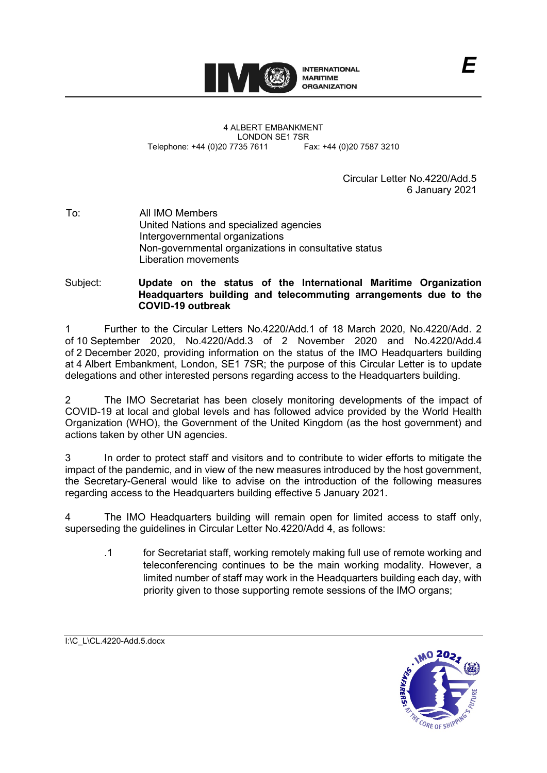

4 ALBERT EMBANKMENT LONDON SE1 7SR<br>735 7611 Fax: +44 (0)20 7587 3210 Telephone: +44 (0)20 7735 7611

> Circular Letter No.4220/Add 5 6 January 2021

To: All IMO Members United Nations and specialized agencies Intergovernmental organizations Non-governmental organizations in consultative status Liberation movements

Subject: **Update on the status of the International Maritime Organization Headquarters building and telecommuting arrangements due to the COVID-19 outbreak**

1 Further to the Circular Letters No.4220/Add.1 of 18 March 2020, No.4220/Add. 2 of 10 September 2020, No.4220/Add.3 of 2 November 2020 and No.4220/Add.4 of 2 December 2020, providing information on the status of the IMO Headquarters building at 4 Albert Embankment, London, SE1 7SR; the purpose of this Circular Letter is to update delegations and other interested persons regarding access to the Headquarters building.

2 The IMO Secretariat has been closely monitoring developments of the impact of COVID-19 at local and global levels and has followed advice provided by the World Health Organization (WHO), the Government of the United Kingdom (as the host government) and actions taken by other UN agencies.

3 In order to protect staff and visitors and to contribute to wider efforts to mitigate the impact of the pandemic, and in view of the new measures introduced by the host government, the Secretary-General would like to advise on the introduction of the following measures regarding access to the Headquarters building effective 5 January 2021.

4 The IMO Headquarters building will remain open for limited access to staff only, superseding the guidelines in Circular Letter No.4220/Add 4, as follows:

.1 for Secretariat staff, working remotely making full use of remote working and teleconferencing continues to be the main working modality. However, a limited number of staff may work in the Headquarters building each day, with priority given to those supporting remote sessions of the IMO organs;

I:\C\_L\CL.4220-Add.5.docx